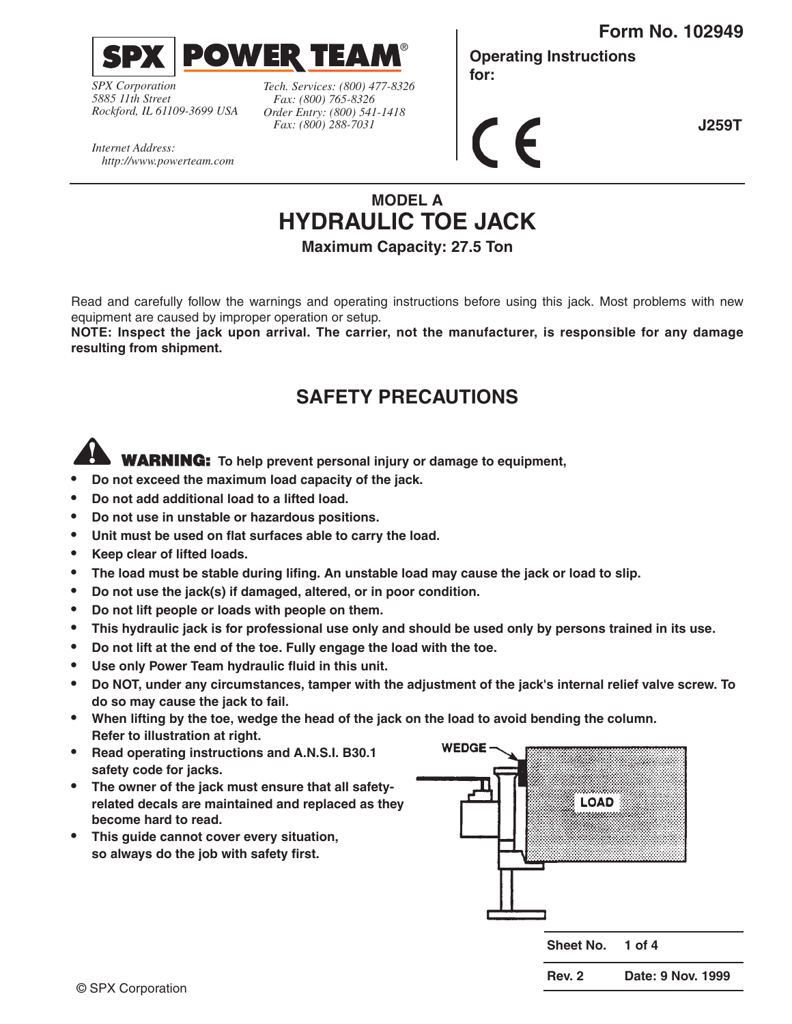**Form No. 102949**



*SPX Corporation 5885 11th Street Rockford, IL 61109-3699 USA* *Tech. Services: (800) 477-8326 Fax: (800) 765-8326 Order Entry: (800) 541-1418 Fax: (800) 288-7031*

**Operating Instructions for:**

 $\epsilon$ 

**J259T**

*Internet Address: http://www.powerteam.com*

# **MODEL A HYDRAULIC TOE JACK**

®

**Maximum Capacity: 27.5 Ton**

Read and carefully follow the warnings and operating instructions before using this jack. Most problems with new equipment are caused by improper operation or setup.

**NOTE: Inspect the jack upon arrival. The carrier, not the manufacturer, is responsible for any damage resulting from shipment.**

## **SAFETY PRECAUTIONS**

**WARNING: To help prevent personal injury or damage to equipment,**

- **• Do not exceed the maximum load capacity of the jack.**
- **• Do not add additional load to a lifted load.**
- **• Do not use in unstable or hazardous positions.**
- **• Unit must be used on flat surfaces able to carry the load.**
- **• Keep clear of lifted loads.**
- **• The load must be stable during lifing. An unstable load may cause the jack or load to slip.**
- **• Do not use the jack(s) if damaged, altered, or in poor condition.**
- **• Do not lift people or loads with people on them.**
- **• This hydraulic jack is for professional use only and should be used only by persons trained in its use.**
- **• Do not lift at the end of the toe. Fully engage the load with the toe.**
- **• Use only Power Team hydraulic fluid in this unit.**
- **•**

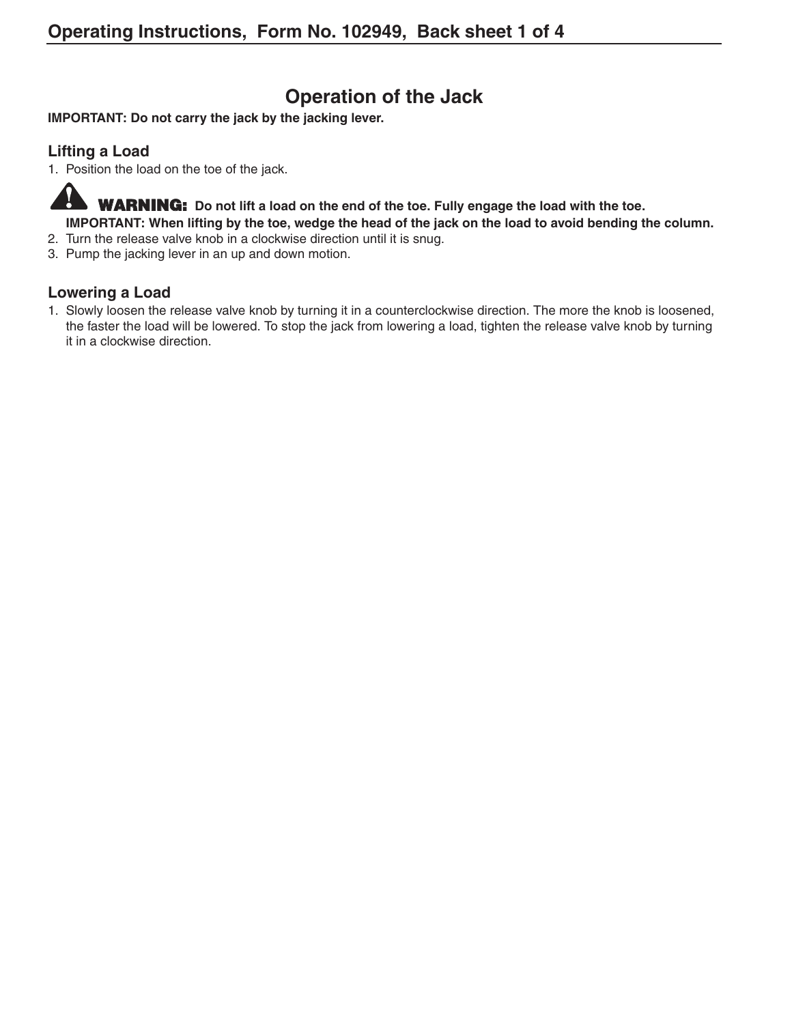## **Operation of the Jack**

**IMPORTANT: Do not carry the jack by the jacking lever.**

#### **Lifting a Load**

1. Position the load on the toe of the jack.

 $\bf{V}$ **WARNING: Do not lift a load on the end of the toe. Fully engage the load with the toe. IMPORTANT: When lifting by the toe, wedge the head of the jack on the load to avoid bending the column.**

- 2. Turn the release valve knob in a clockwise direction until it is snug.
- 3. Pump the jacking lever in an up and down motion.

#### **Lowering a Load**

1. Slowly loosen the release valve knob by turning it in a counterclockwise direction. The more the knob is loosened, the faster the load will be lowered. To stop the jack from lowering a load, tighten the release valve knob by turning it in a clockwise direction.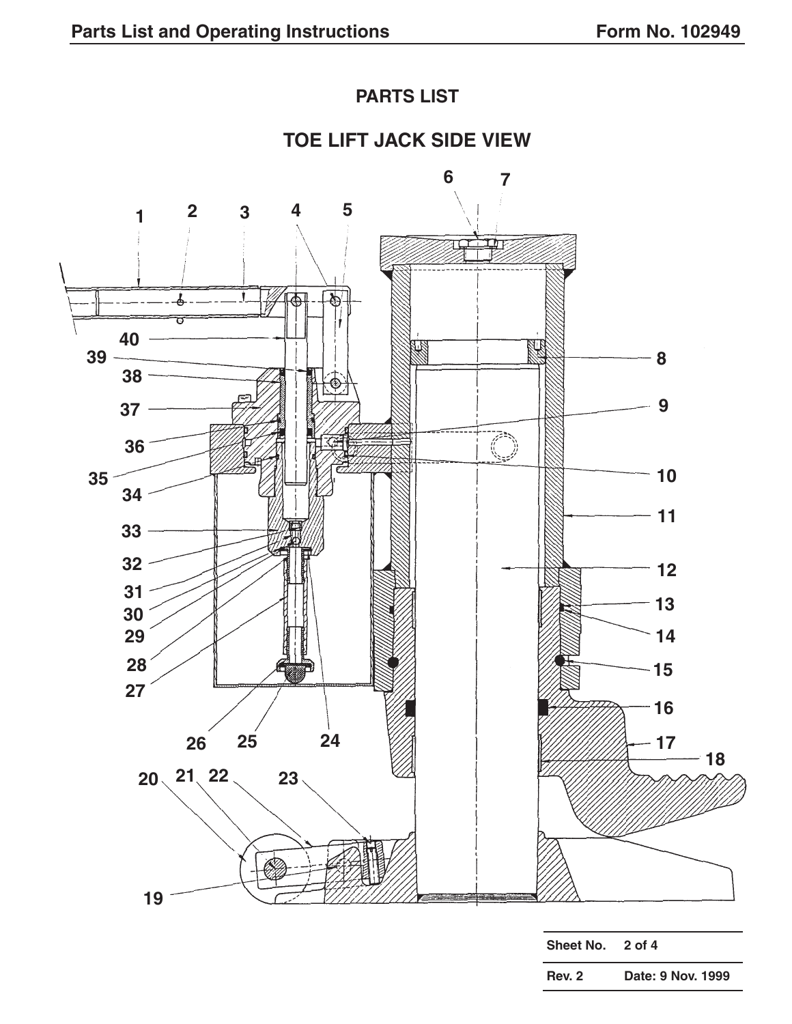## **PARTS LIST**

## **TOE LIFT JACK SIDE VIEW**

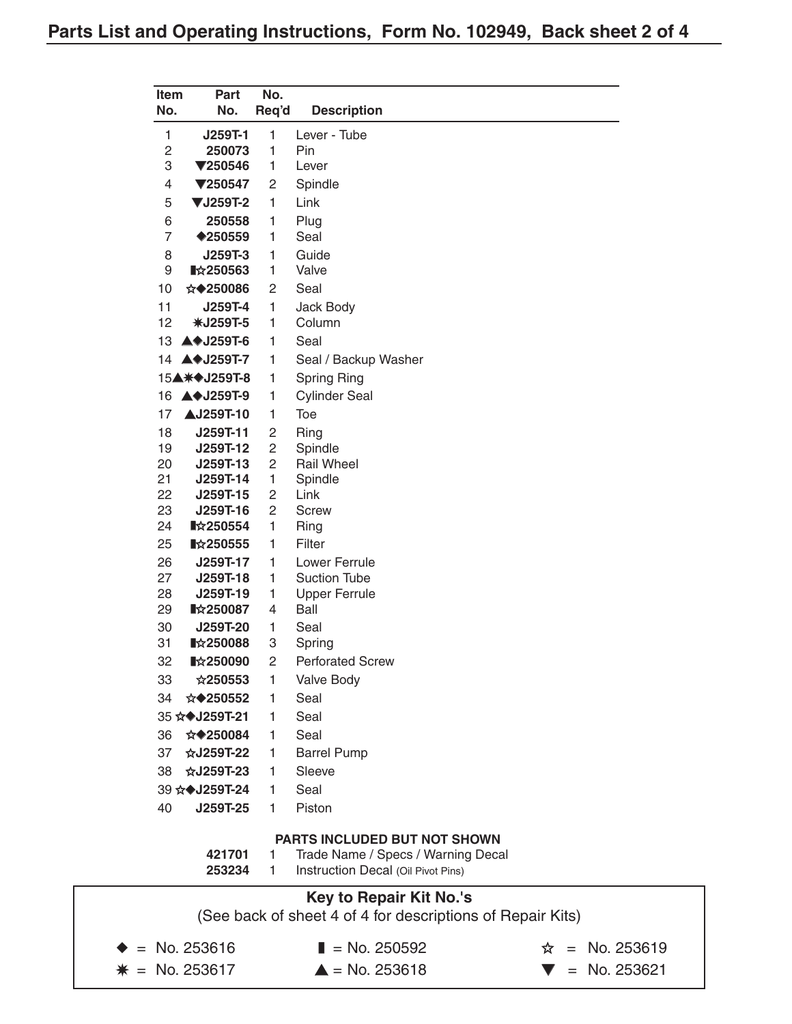| Item           | <b>Part</b>                              | No.                 |                                                                          |
|----------------|------------------------------------------|---------------------|--------------------------------------------------------------------------|
| No.            | No.                                      | Req'd               | <b>Description</b>                                                       |
| 1              | J259T-1                                  | 1                   | Lever - Tube                                                             |
| $\overline{c}$ | 250073                                   | 1                   | Pin                                                                      |
| 3              | $\P$ 250546                              | 1                   | Lever                                                                    |
| 4              | $\P$ 250547                              | 2                   | Spindle                                                                  |
| 5              | <b>▼J259T-2</b>                          | 1                   | Link                                                                     |
| 6              | 250558                                   | 1                   | Plug                                                                     |
| $\overline{7}$ | ◆250559                                  | 1                   | Seal                                                                     |
| 8              | J259T-3                                  | 1                   | Guide                                                                    |
| 9              | $\blacktriangleright$ 250563             | 1                   | Valve                                                                    |
| 10             | ☆◆250086                                 | 2                   | Seal                                                                     |
| 11             | J259T-4                                  | 1                   | <b>Jack Body</b>                                                         |
| 12             | <b>*J259T-5</b>                          | 1                   | Column                                                                   |
| 13             | $\blacktriangle$ $\blacklozenge$ J259T-6 | 1                   | Seal                                                                     |
| 14             | ▲◆J259T-7                                | 1                   | Seal / Backup Washer                                                     |
|                | 15▲ *◆ J259T-8                           | 1                   | <b>Spring Ring</b>                                                       |
| 16             | ▲◆J259T-9                                | 1                   | <b>Cylinder Seal</b>                                                     |
| 17             | <b>AJ259T-10</b>                         | 1                   | Toe                                                                      |
| 18<br>19       | J259T-11<br>J259T-12                     | 2<br>$\overline{c}$ | Ring<br>Spindle                                                          |
| 20             | J259T-13                                 | 2                   | <b>Rail Wheel</b>                                                        |
| 21             | J259T-14                                 | 1                   | Spindle                                                                  |
| 22             | J259T-15                                 | 2                   | Link                                                                     |
| 23             | J259T-16                                 | 2                   | <b>Screw</b>                                                             |
| 24             | $\blacktriangleright$ 250554             | 1                   | Ring                                                                     |
| 25             | ■☆250555                                 | 1                   | Filter                                                                   |
| 26             | J259T-17                                 | 1                   | Lower Ferrule                                                            |
| 27<br>28       | J259T-18<br>J259T-19                     | 1<br>1              | <b>Suction Tube</b><br><b>Upper Ferrule</b>                              |
| 29             | ■☆250087                                 | 4                   | Ball                                                                     |
| 30             | J259T-20                                 | 1                   | Seal                                                                     |
| 31             | $\blacktriangleright$ 250088             | 3                   | Spring                                                                   |
| 32             | ■☆250090                                 | $\overline{c}$      | <b>Perforated Screw</b>                                                  |
| 33             | ☆250553                                  | 1                   | Valve Body                                                               |
| 34             | ☆◆250552                                 | 1                   | Seal                                                                     |
|                | 35 ☆◆J259T-21                            | 1                   | Seal                                                                     |
| 36             | ☆◆250084                                 | 1                   | Seal                                                                     |
| 37             | ☆J259T-22                                | 1                   | <b>Barrel Pump</b>                                                       |
| 38             | ☆J259T-23                                | 1                   | Sleeve                                                                   |
|                | 39 ☆◆J259T-24                            | 1                   | Seal                                                                     |
| 40             | J259T-25                                 | 1                   | Piston                                                                   |
|                |                                          |                     |                                                                          |
|                |                                          |                     | <b>PARTS INCLUDED BUT NOT SHOWN</b>                                      |
|                | 421701<br>253234                         | 1<br>1              | Trade Name / Specs / Warning Decal<br>Instruction Decal (Oil Pivot Pins) |

# **Key to Repair Kit No.'s** (See back of sheet 4 of 4 for descriptions of Repair Kits)  $\neq$  No. 253616 ■ No. 250592  $\hat{x}$  = No. 253619 ✵ = No. 253617 ▲ = No. 253618 ▼ = No. 253621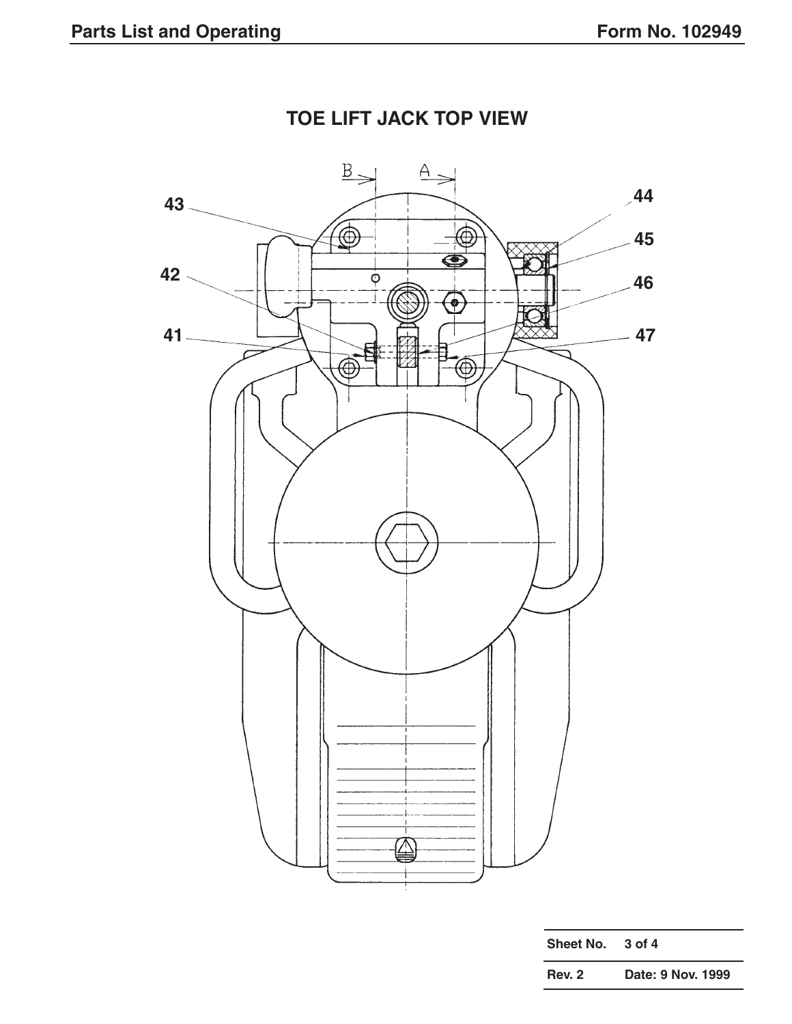

# **TOE LIFT JACK TOP VIEW**

| Sheet No.     | 3 of 4            |
|---------------|-------------------|
| <b>Rev. 2</b> | Date: 9 Nov. 1999 |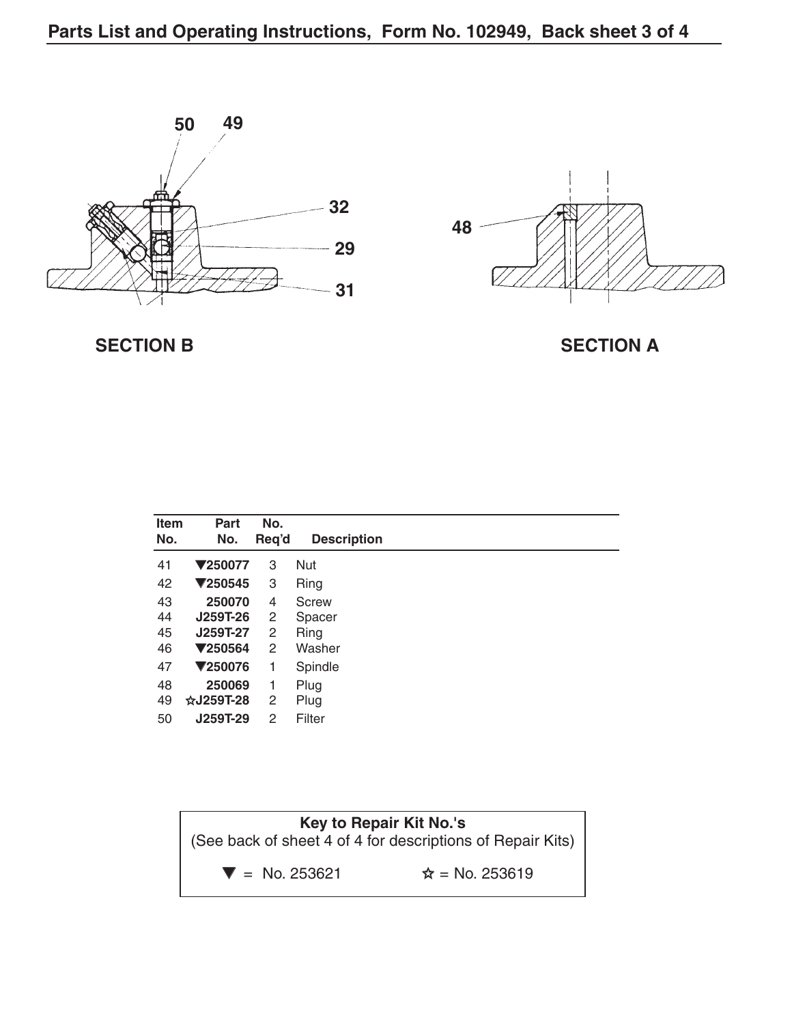



**SECTION B** SECTION A

| <b>Item</b><br>No. | Part<br>No.    | No.<br>Req'd | <b>Description</b> |  |
|--------------------|----------------|--------------|--------------------|--|
| 41                 | <b>▼250077</b> | 3            | Nut                |  |
| 42                 | $\P$ 250545    | 3            | Ring               |  |
| 43                 | 250070         | 4            | Screw              |  |
| 44                 | J259T-26       | 2            | Spacer             |  |
| 45                 | J259T-27       | 2            | <b>Ring</b>        |  |
| 46                 | $\P$ 250564    | 2            | Washer             |  |
| 47                 | ▼250076        | 1            | Spindle            |  |
| 48                 | 250069         | 1            | Plug               |  |
| 49                 | $\&$ J259T-28  | 2            | Plug               |  |
| 50                 | J259T-29       | 2            | Filter             |  |

| Key to Repair Kit No.'s<br>(See back of sheet 4 of 4 for descriptions of Repair Kits) |                        |  |
|---------------------------------------------------------------------------------------|------------------------|--|
| $\blacktriangledown$ = No. 253621                                                     | $\hat{x}$ = No. 253619 |  |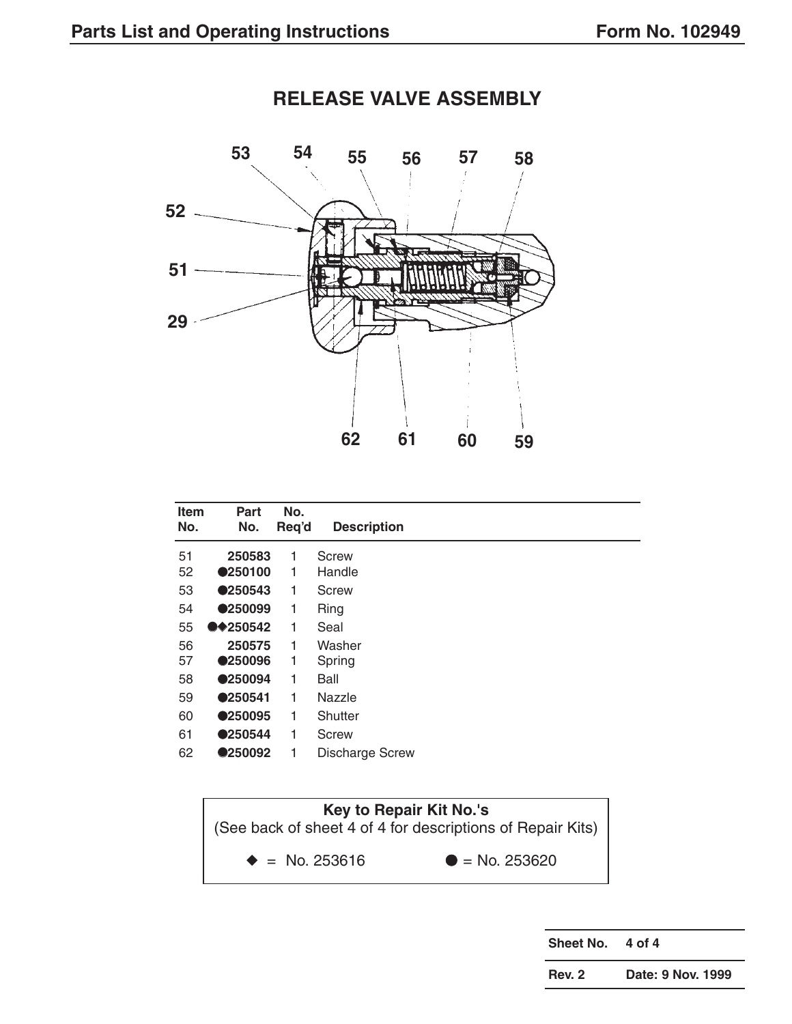

| <b>Item</b> | Part       | No.   |                        |
|-------------|------------|-------|------------------------|
| No.         | No.        | Req'd | <b>Description</b>     |
| 51          | 250583     | 1     | Screw                  |
| 52          | ●250100    | 1     | Handle                 |
| 53          | ●250543    | 1     | Screw                  |
| 54          | ●250099    | 1     | <b>Ring</b>            |
| 55          | $•*250542$ | 1     | Seal                   |
| 56          | 250575     | 1     | Washer                 |
| 57          | ●250096    | 1     | Spring                 |
| 58          | ●250094    | 1     | Ball                   |
| 59          | ●250541    | 1     | Nazzle                 |
| 60          | ●250095    | 1     | Shutter                |
| 61          | ●250544    | 1     | Screw                  |
| 62          | ●250092    | 1     | <b>Discharge Screw</b> |

**Key to Repair Kit No.'s** (See back of sheet 4 of 4 for descriptions of Repair Kits)  $\triangleq$  = No. 253616  $\triangleq$  = No. 253620

**Sheet No. 4 of 4**